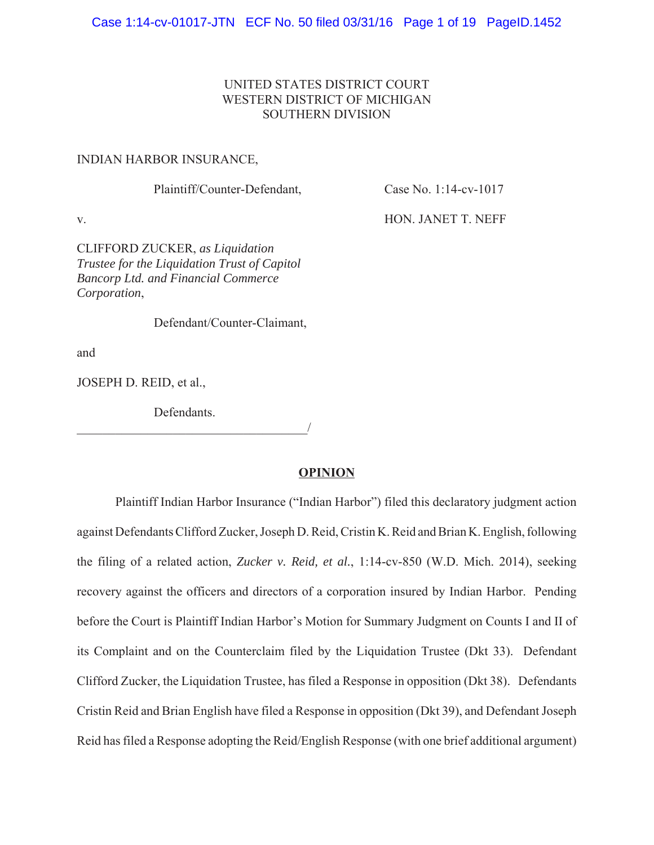## UNITED STATES DISTRICT COURT WESTERN DISTRICT OF MICHIGAN SOUTHERN DIVISION

#### INDIAN HARBOR INSURANCE,

Plaintiff/Counter-Defendant, Case No. 1:14-cv-1017

v. Brown and the set of the set of the HON. JANET T. NEFF

CLIFFORD ZUCKER, *as Liquidation Trustee for the Liquidation Trust of Capitol Bancorp Ltd. and Financial Commerce Corporation*,

Defendant/Counter-Claimant,

and

JOSEPH D. REID, et al.,

Defendants.

 $\overline{\phantom{a}}$ 

### **OPINION**

Plaintiff Indian Harbor Insurance ("Indian Harbor") filed this declaratory judgment action against Defendants Clifford Zucker, Joseph D. Reid, Cristin K. Reid and Brian K. English, following the filing of a related action, *Zucker v. Reid, et al.*, 1:14-cv-850 (W.D. Mich. 2014), seeking recovery against the officers and directors of a corporation insured by Indian Harbor. Pending before the Court is Plaintiff Indian Harbor's Motion for Summary Judgment on Counts I and II of its Complaint and on the Counterclaim filed by the Liquidation Trustee (Dkt 33). Defendant Clifford Zucker, the Liquidation Trustee, has filed a Response in opposition (Dkt 38). Defendants Cristin Reid and Brian English have filed a Response in opposition (Dkt 39), and Defendant Joseph Reid has filed a Response adopting the Reid/English Response (with one brief additional argument)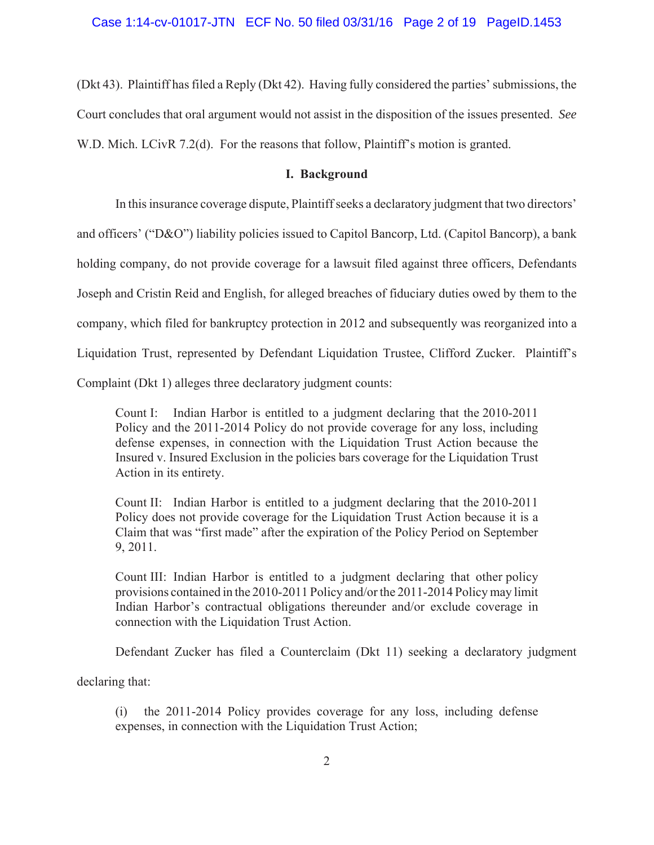(Dkt 43). Plaintiff has filed a Reply (Dkt 42). Having fully considered the parties' submissions, the Court concludes that oral argument would not assist in the disposition of the issues presented. *See* W.D. Mich. LCivR 7.2(d). For the reasons that follow, Plaintiff's motion is granted.

### **I. Background**

In this insurance coverage dispute, Plaintiff seeks a declaratory judgment that two directors'

and officers' ("D&O") liability policies issued to Capitol Bancorp, Ltd. (Capitol Bancorp), a bank

holding company, do not provide coverage for a lawsuit filed against three officers, Defendants

Joseph and Cristin Reid and English, for alleged breaches of fiduciary duties owed by them to the

company, which filed for bankruptcy protection in 2012 and subsequently was reorganized into a

Liquidation Trust, represented by Defendant Liquidation Trustee, Clifford Zucker. Plaintiff's

Complaint (Dkt 1) alleges three declaratory judgment counts:

Count I: Indian Harbor is entitled to a judgment declaring that the 2010-2011 Policy and the 2011-2014 Policy do not provide coverage for any loss, including defense expenses, in connection with the Liquidation Trust Action because the Insured v. Insured Exclusion in the policies bars coverage for the Liquidation Trust Action in its entirety.

Count II: Indian Harbor is entitled to a judgment declaring that the 2010-2011 Policy does not provide coverage for the Liquidation Trust Action because it is a Claim that was "first made" after the expiration of the Policy Period on September 9, 2011.

Count III: Indian Harbor is entitled to a judgment declaring that other policy provisions contained in the 2010-2011 Policy and/or the 2011-2014 Policy may limit Indian Harbor's contractual obligations thereunder and/or exclude coverage in connection with the Liquidation Trust Action.

Defendant Zucker has filed a Counterclaim (Dkt 11) seeking a declaratory judgment

declaring that:

(i) the 2011-2014 Policy provides coverage for any loss, including defense expenses, in connection with the Liquidation Trust Action;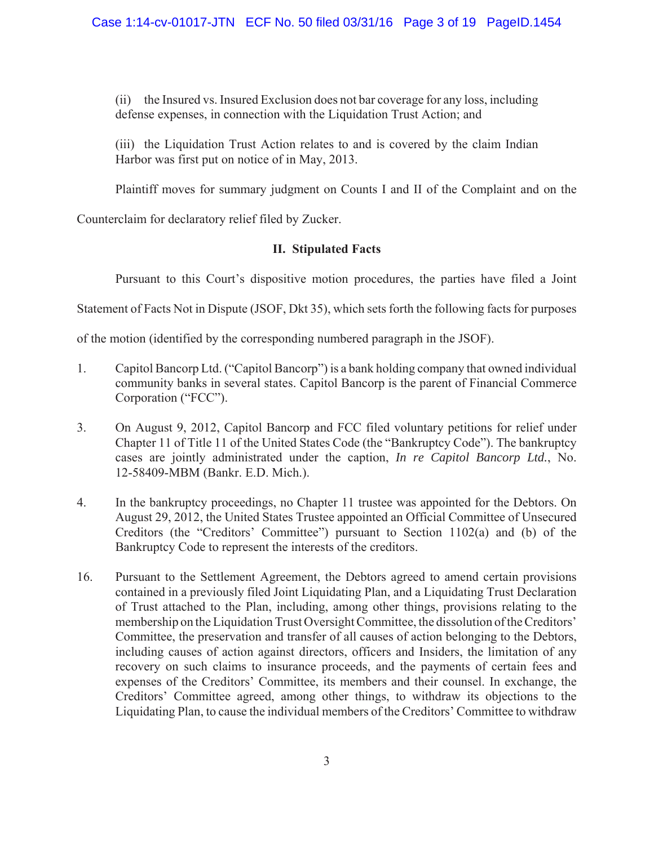(ii) the Insured vs. Insured Exclusion does not bar coverage for any loss, including defense expenses, in connection with the Liquidation Trust Action; and

(iii) the Liquidation Trust Action relates to and is covered by the claim Indian Harbor was first put on notice of in May, 2013.

Plaintiff moves for summary judgment on Counts I and II of the Complaint and on the

Counterclaim for declaratory relief filed by Zucker.

# **II. Stipulated Facts**

Pursuant to this Court's dispositive motion procedures, the parties have filed a Joint

Statement of Facts Not in Dispute (JSOF, Dkt 35), which sets forth the following facts for purposes

of the motion (identified by the corresponding numbered paragraph in the JSOF).

- 1. Capitol Bancorp Ltd. ("Capitol Bancorp") is a bank holding company that owned individual community banks in several states. Capitol Bancorp is the parent of Financial Commerce Corporation ("FCC").
- 3. On August 9, 2012, Capitol Bancorp and FCC filed voluntary petitions for relief under Chapter 11 of Title 11 of the United States Code (the "Bankruptcy Code"). The bankruptcy cases are jointly administrated under the caption, *In re Capitol Bancorp Ltd.*, No. 12-58409-MBM (Bankr. E.D. Mich.).
- 4. In the bankruptcy proceedings, no Chapter 11 trustee was appointed for the Debtors. On August 29, 2012, the United States Trustee appointed an Official Committee of Unsecured Creditors (the "Creditors' Committee") pursuant to Section 1102(a) and (b) of the Bankruptcy Code to represent the interests of the creditors.
- 16. Pursuant to the Settlement Agreement, the Debtors agreed to amend certain provisions contained in a previously filed Joint Liquidating Plan, and a Liquidating Trust Declaration of Trust attached to the Plan, including, among other things, provisions relating to the membership on the Liquidation Trust Oversight Committee, the dissolution of the Creditors' Committee, the preservation and transfer of all causes of action belonging to the Debtors, including causes of action against directors, officers and Insiders, the limitation of any recovery on such claims to insurance proceeds, and the payments of certain fees and expenses of the Creditors' Committee, its members and their counsel. In exchange, the Creditors' Committee agreed, among other things, to withdraw its objections to the Liquidating Plan, to cause the individual members of the Creditors' Committee to withdraw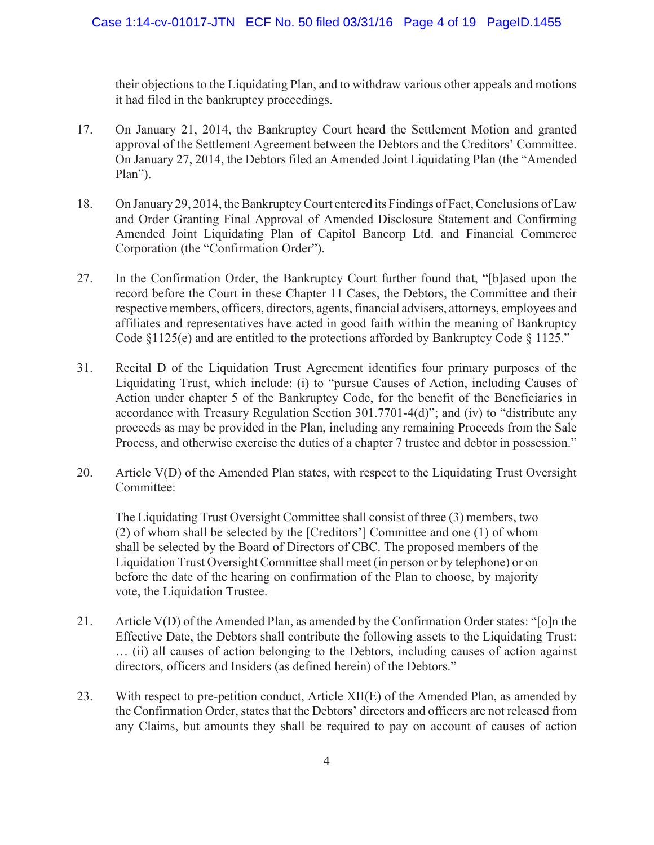their objections to the Liquidating Plan, and to withdraw various other appeals and motions it had filed in the bankruptcy proceedings.

- 17. On January 21, 2014, the Bankruptcy Court heard the Settlement Motion and granted approval of the Settlement Agreement between the Debtors and the Creditors' Committee. On January 27, 2014, the Debtors filed an Amended Joint Liquidating Plan (the "Amended Plan").
- 18. On January 29, 2014, the Bankruptcy Court entered its Findings of Fact, Conclusions of Law and Order Granting Final Approval of Amended Disclosure Statement and Confirming Amended Joint Liquidating Plan of Capitol Bancorp Ltd. and Financial Commerce Corporation (the "Confirmation Order").
- 27. In the Confirmation Order, the Bankruptcy Court further found that, "[b]ased upon the record before the Court in these Chapter 11 Cases, the Debtors, the Committee and their respective members, officers, directors, agents, financial advisers, attorneys, employees and affiliates and representatives have acted in good faith within the meaning of Bankruptcy Code  $§1125(e)$  and are entitled to the protections afforded by Bankruptcy Code  $§1125."$
- 31. Recital D of the Liquidation Trust Agreement identifies four primary purposes of the Liquidating Trust, which include: (i) to "pursue Causes of Action, including Causes of Action under chapter 5 of the Bankruptcy Code, for the benefit of the Beneficiaries in accordance with Treasury Regulation Section 301.7701-4(d)"; and (iv) to "distribute any proceeds as may be provided in the Plan, including any remaining Proceeds from the Sale Process, and otherwise exercise the duties of a chapter 7 trustee and debtor in possession."
- 20. Article V(D) of the Amended Plan states, with respect to the Liquidating Trust Oversight Committee:

The Liquidating Trust Oversight Committee shall consist of three (3) members, two (2) of whom shall be selected by the [Creditors'] Committee and one (1) of whom shall be selected by the Board of Directors of CBC. The proposed members of the Liquidation Trust Oversight Committee shall meet (in person or by telephone) or on before the date of the hearing on confirmation of the Plan to choose, by majority vote, the Liquidation Trustee.

- 21. Article V(D) of the Amended Plan, as amended by the Confirmation Order states: "[o]n the Effective Date, the Debtors shall contribute the following assets to the Liquidating Trust: … (ii) all causes of action belonging to the Debtors, including causes of action against directors, officers and Insiders (as defined herein) of the Debtors."
- 23. With respect to pre-petition conduct, Article XII(E) of the Amended Plan, as amended by the Confirmation Order, states that the Debtors' directors and officers are not released from any Claims, but amounts they shall be required to pay on account of causes of action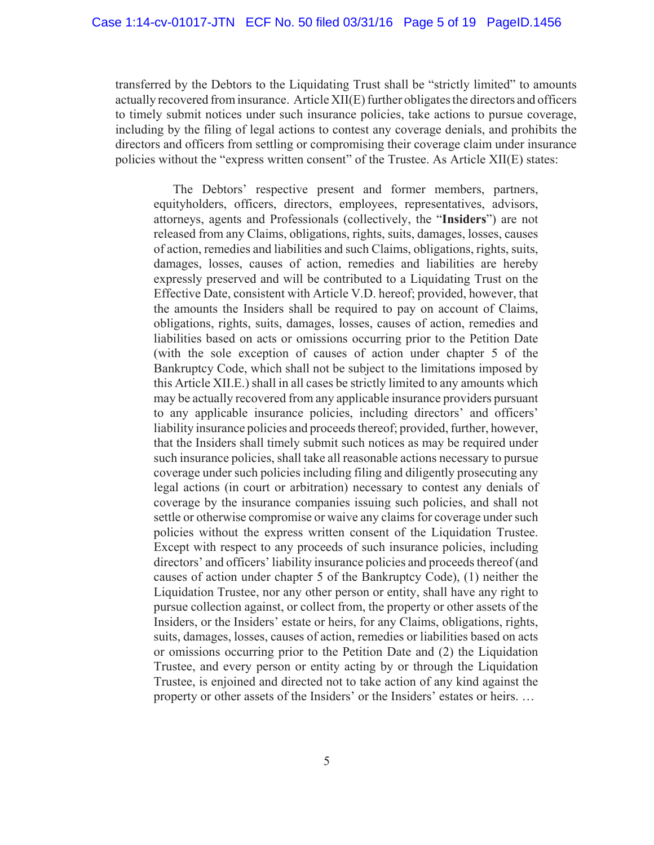transferred by the Debtors to the Liquidating Trust shall be "strictly limited" to amounts actually recovered from insurance. Article XII(E) further obligates the directors and officers to timely submit notices under such insurance policies, take actions to pursue coverage, including by the filing of legal actions to contest any coverage denials, and prohibits the directors and officers from settling or compromising their coverage claim under insurance policies without the "express written consent" of the Trustee. As Article XII(E) states:

The Debtors' respective present and former members, partners, equityholders, officers, directors, employees, representatives, advisors, attorneys, agents and Professionals (collectively, the "**Insiders**") are not released from any Claims, obligations, rights, suits, damages, losses, causes of action, remedies and liabilities and such Claims, obligations, rights, suits, damages, losses, causes of action, remedies and liabilities are hereby expressly preserved and will be contributed to a Liquidating Trust on the Effective Date, consistent with Article V.D. hereof; provided, however, that the amounts the Insiders shall be required to pay on account of Claims, obligations, rights, suits, damages, losses, causes of action, remedies and liabilities based on acts or omissions occurring prior to the Petition Date (with the sole exception of causes of action under chapter 5 of the Bankruptcy Code, which shall not be subject to the limitations imposed by this Article XII.E.) shall in all cases be strictly limited to any amounts which may be actually recovered from any applicable insurance providers pursuant to any applicable insurance policies, including directors' and officers' liability insurance policies and proceeds thereof; provided, further, however, that the Insiders shall timely submit such notices as may be required under such insurance policies, shall take all reasonable actions necessary to pursue coverage under such policies including filing and diligently prosecuting any legal actions (in court or arbitration) necessary to contest any denials of coverage by the insurance companies issuing such policies, and shall not settle or otherwise compromise or waive any claims for coverage under such policies without the express written consent of the Liquidation Trustee. Except with respect to any proceeds of such insurance policies, including directors' and officers' liability insurance policies and proceeds thereof (and causes of action under chapter 5 of the Bankruptcy Code), (1) neither the Liquidation Trustee, nor any other person or entity, shall have any right to pursue collection against, or collect from, the property or other assets of the Insiders, or the Insiders' estate or heirs, for any Claims, obligations, rights, suits, damages, losses, causes of action, remedies or liabilities based on acts or omissions occurring prior to the Petition Date and (2) the Liquidation Trustee, and every person or entity acting by or through the Liquidation Trustee, is enjoined and directed not to take action of any kind against the property or other assets of the Insiders' or the Insiders' estates or heirs. …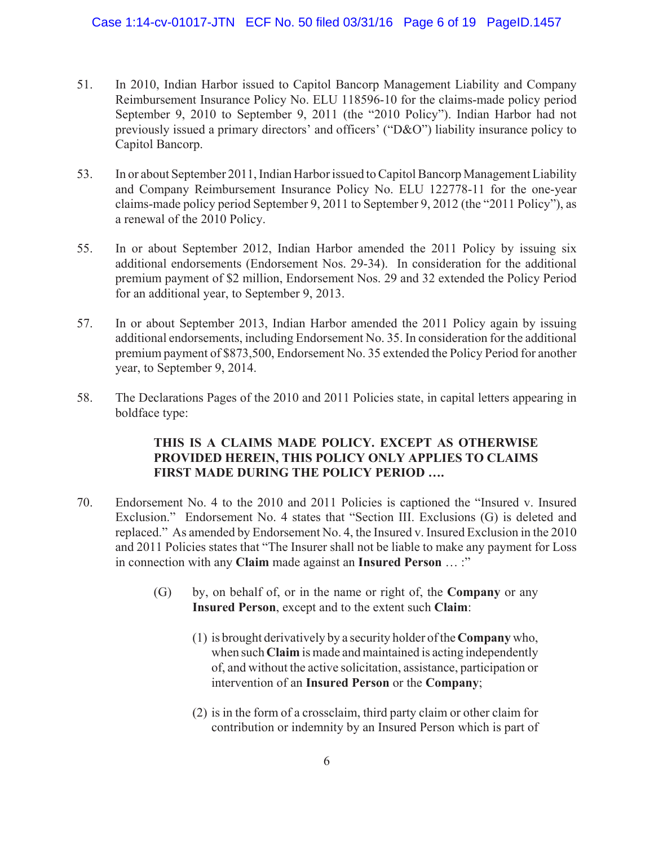- 51. In 2010, Indian Harbor issued to Capitol Bancorp Management Liability and Company Reimbursement Insurance Policy No. ELU 118596-10 for the claims-made policy period September 9, 2010 to September 9, 2011 (the "2010 Policy"). Indian Harbor had not previously issued a primary directors' and officers' ("D&O") liability insurance policy to Capitol Bancorp.
- 53. In or about September 2011, Indian Harbor issued to Capitol Bancorp Management Liability and Company Reimbursement Insurance Policy No. ELU 122778-11 for the one-year claims-made policy period September 9, 2011 to September 9, 2012 (the "2011 Policy"), as a renewal of the 2010 Policy.
- 55. In or about September 2012, Indian Harbor amended the 2011 Policy by issuing six additional endorsements (Endorsement Nos. 29-34). In consideration for the additional premium payment of \$2 million, Endorsement Nos. 29 and 32 extended the Policy Period for an additional year, to September 9, 2013.
- 57. In or about September 2013, Indian Harbor amended the 2011 Policy again by issuing additional endorsements, including Endorsement No. 35. In consideration for the additional premium payment of \$873,500, Endorsement No. 35 extended the Policy Period for another year, to September 9, 2014.
- 58. The Declarations Pages of the 2010 and 2011 Policies state, in capital letters appearing in boldface type:

# **THIS IS A CLAIMS MADE POLICY. EXCEPT AS OTHERWISE PROVIDED HEREIN, THIS POLICY ONLY APPLIES TO CLAIMS FIRST MADE DURING THE POLICY PERIOD ….**

- 70. Endorsement No. 4 to the 2010 and 2011 Policies is captioned the "Insured v. Insured Exclusion." Endorsement No. 4 states that "Section III. Exclusions (G) is deleted and replaced." As amended by Endorsement No. 4, the Insured v. Insured Exclusion in the 2010 and 2011 Policies states that "The Insurer shall not be liable to make any payment for Loss in connection with any **Claim** made against an **Insured Person** … :"
	- (G) by, on behalf of, or in the name or right of, the **Company** or any **Insured Person**, except and to the extent such **Claim**:
		- (1) is brought derivatively by a security holder of the **Company** who, when such **Claim** is made and maintained is acting independently of, and without the active solicitation, assistance, participation or intervention of an **Insured Person** or the **Company**;
		- (2) is in the form of a crossclaim, third party claim or other claim for contribution or indemnity by an Insured Person which is part of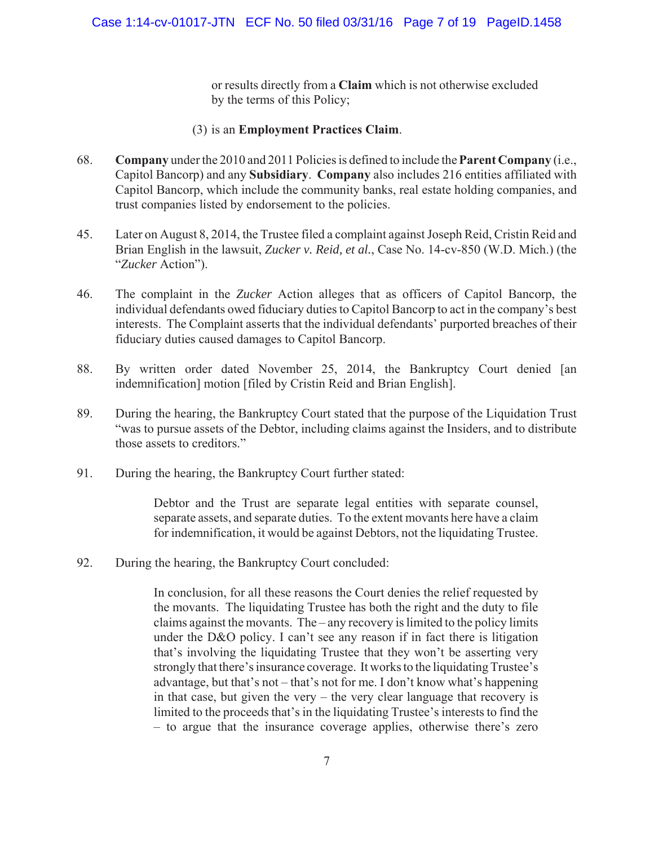or results directly from a **Claim** which is not otherwise excluded by the terms of this Policy;

## (3) is an **Employment Practices Claim**.

- 68. **Company** under the 2010 and 2011 Policies is defined to include the **Parent Company** (i.e., Capitol Bancorp) and any **Subsidiary**. **Company** also includes 216 entities affiliated with Capitol Bancorp, which include the community banks, real estate holding companies, and trust companies listed by endorsement to the policies.
- 45. Later on August 8, 2014, the Trustee filed a complaint against Joseph Reid, Cristin Reid and Brian English in the lawsuit, *Zucker v. Reid, et al.*, Case No. 14-cv-850 (W.D. Mich.) (the "*Zucker* Action").
- 46. The complaint in the *Zucker* Action alleges that as officers of Capitol Bancorp, the individual defendants owed fiduciary duties to Capitol Bancorp to act in the company's best interests. The Complaint asserts that the individual defendants' purported breaches of their fiduciary duties caused damages to Capitol Bancorp.
- 88. By written order dated November 25, 2014, the Bankruptcy Court denied [an indemnification] motion [filed by Cristin Reid and Brian English].
- 89. During the hearing, the Bankruptcy Court stated that the purpose of the Liquidation Trust "was to pursue assets of the Debtor, including claims against the Insiders, and to distribute those assets to creditors."
- 91. During the hearing, the Bankruptcy Court further stated:

Debtor and the Trust are separate legal entities with separate counsel, separate assets, and separate duties. To the extent movants here have a claim for indemnification, it would be against Debtors, not the liquidating Trustee.

92. During the hearing, the Bankruptcy Court concluded:

In conclusion, for all these reasons the Court denies the relief requested by the movants. The liquidating Trustee has both the right and the duty to file claims against the movants. The – any recovery is limited to the policy limits under the D&O policy. I can't see any reason if in fact there is litigation that's involving the liquidating Trustee that they won't be asserting very strongly that there's insurance coverage. It works to the liquidating Trustee's advantage, but that's not – that's not for me. I don't know what's happening in that case, but given the very – the very clear language that recovery is limited to the proceeds that's in the liquidating Trustee's interests to find the – to argue that the insurance coverage applies, otherwise there's zero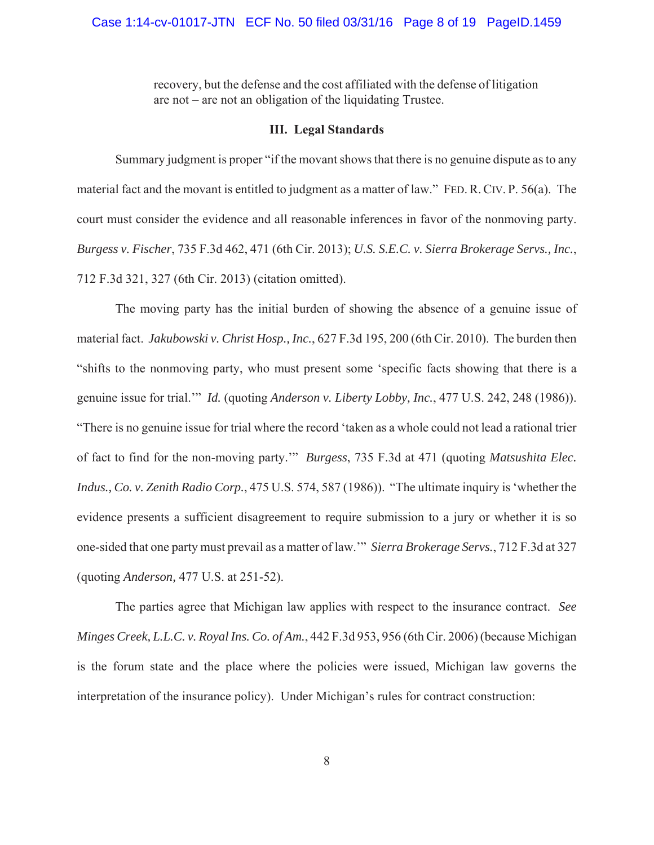### Case 1:14-cv-01017-JTN ECF No. 50 filed 03/31/16 Page 8 of 19 PageID.1459

recovery, but the defense and the cost affiliated with the defense of litigation are not – are not an obligation of the liquidating Trustee.

## **III. Legal Standards**

Summary judgment is proper "if the movant shows that there is no genuine dispute as to any material fact and the movant is entitled to judgment as a matter of law." FED. R. CIV. P. 56(a). The court must consider the evidence and all reasonable inferences in favor of the nonmoving party. *Burgess v. Fischer*, 735 F.3d 462, 471 (6th Cir. 2013); *U.S. S.E.C. v. Sierra Brokerage Servs., Inc.*, 712 F.3d 321, 327 (6th Cir. 2013) (citation omitted).

The moving party has the initial burden of showing the absence of a genuine issue of material fact. *Jakubowski v. Christ Hosp., Inc.*, 627 F.3d 195, 200 (6th Cir. 2010). The burden then "shifts to the nonmoving party, who must present some 'specific facts showing that there is a genuine issue for trial.'" *Id.* (quoting *Anderson v. Liberty Lobby, Inc.*, 477 U.S. 242, 248 (1986)). "There is no genuine issue for trial where the record 'taken as a whole could not lead a rational trier of fact to find for the non-moving party.'" *Burgess*, 735 F.3d at 471 (quoting *Matsushita Elec. Indus., Co. v. Zenith Radio Corp.*, 475 U.S. 574, 587 (1986)). "The ultimate inquiry is 'whether the evidence presents a sufficient disagreement to require submission to a jury or whether it is so one-sided that one party must prevail as a matter of law.'" *Sierra Brokerage Servs.*, 712 F.3d at 327 (quoting *Anderson,* 477 U.S. at 251-52).

The parties agree that Michigan law applies with respect to the insurance contract. *See Minges Creek, L.L.C. v. Royal Ins. Co. of Am.*, 442 F.3d 953, 956 (6th Cir. 2006) (because Michigan is the forum state and the place where the policies were issued, Michigan law governs the interpretation of the insurance policy). Under Michigan's rules for contract construction: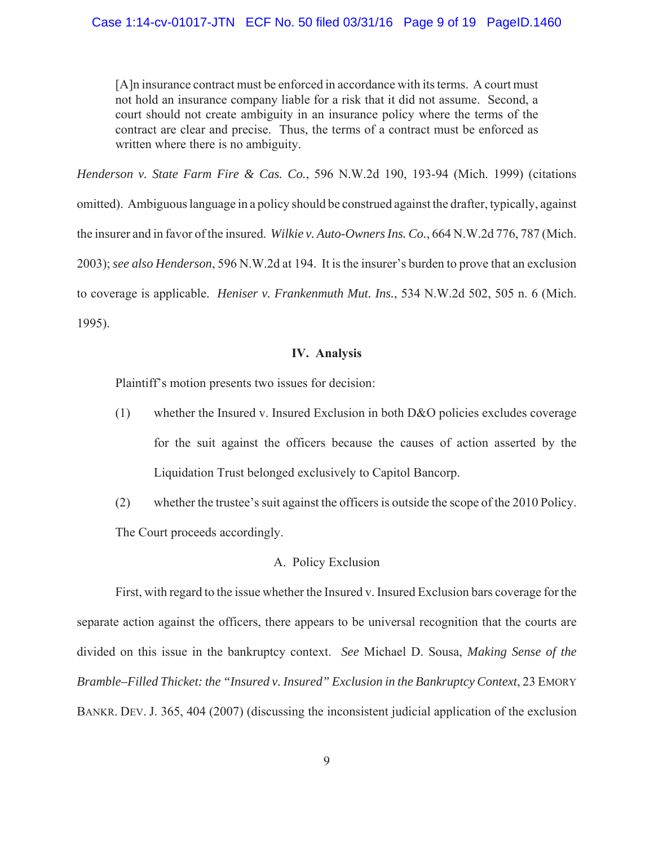[A]n insurance contract must be enforced in accordance with its terms. A court must not hold an insurance company liable for a risk that it did not assume. Second, a court should not create ambiguity in an insurance policy where the terms of the contract are clear and precise. Thus, the terms of a contract must be enforced as written where there is no ambiguity.

*Henderson v. State Farm Fire & Cas. Co.*, 596 N.W.2d 190, 193-94 (Mich. 1999) (citations omitted). Ambiguous language in a policy should be construed against the drafter, typically, against the insurer and in favor of the insured. *Wilkie v. Auto-Owners Ins. Co.*, 664 N.W.2d 776, 787 (Mich. 2003);*see also Henderson*, 596 N.W.2d at 194. It is the insurer's burden to prove that an exclusion to coverage is applicable. *Heniser v. Frankenmuth Mut. Ins.*, 534 N.W.2d 502, 505 n. 6 (Mich. 1995).

## **IV. Analysis**

Plaintiff's motion presents two issues for decision:

- (1) whether the Insured v. Insured Exclusion in both D&O policies excludes coverage for the suit against the officers because the causes of action asserted by the Liquidation Trust belonged exclusively to Capitol Bancorp.
- (2) whether the trustee's suit against the officers is outside the scope of the 2010 Policy. The Court proceeds accordingly.

## A. Policy Exclusion

First, with regard to the issue whether the Insured v. Insured Exclusion bars coverage for the separate action against the officers, there appears to be universal recognition that the courts are divided on this issue in the bankruptcy context. *See* Michael D. Sousa, *Making Sense of the Bramble–Filled Thicket: the "Insured v. Insured" Exclusion in the Bankruptcy Context*, 23 EMORY BANKR. DEV. J. 365, 404 (2007) (discussing the inconsistent judicial application of the exclusion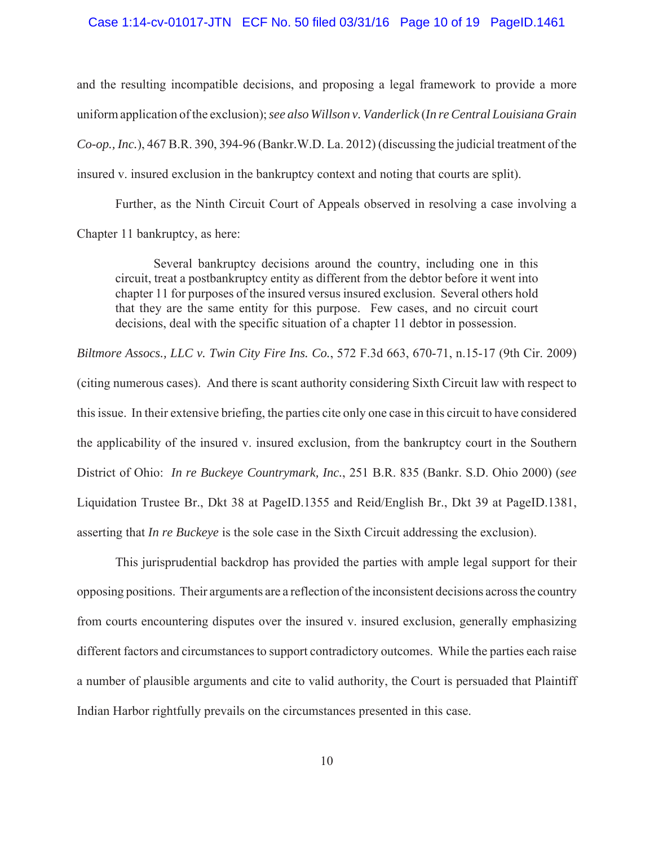#### Case 1:14-cv-01017-JTN ECF No. 50 filed 03/31/16 Page 10 of 19 PageID.1461

and the resulting incompatible decisions, and proposing a legal framework to provide a more uniform application of the exclusion); *see also Willson v. Vanderlick* (*In re Central Louisiana Grain Co-op., Inc.*), 467 B.R. 390, 394-96 (Bankr.W.D. La. 2012) (discussing the judicial treatment of the insured v. insured exclusion in the bankruptcy context and noting that courts are split).

Further, as the Ninth Circuit Court of Appeals observed in resolving a case involving a Chapter 11 bankruptcy, as here:

Several bankruptcy decisions around the country, including one in this circuit, treat a postbankruptcy entity as different from the debtor before it went into chapter 11 for purposes of the insured versus insured exclusion. Several others hold that they are the same entity for this purpose. Few cases, and no circuit court decisions, deal with the specific situation of a chapter 11 debtor in possession.

*Biltmore Assocs., LLC v. Twin City Fire Ins. Co.*, 572 F.3d 663, 670-71, n.15-17 (9th Cir. 2009) (citing numerous cases). And there is scant authority considering Sixth Circuit law with respect to this issue. In their extensive briefing, the parties cite only one case in this circuit to have considered the applicability of the insured v. insured exclusion, from the bankruptcy court in the Southern District of Ohio: *In re Buckeye Countrymark, Inc.*, 251 B.R. 835 (Bankr. S.D. Ohio 2000) (*see* Liquidation Trustee Br., Dkt 38 at PageID.1355 and Reid/English Br., Dkt 39 at PageID.1381, asserting that *In re Buckeye* is the sole case in the Sixth Circuit addressing the exclusion).

This jurisprudential backdrop has provided the parties with ample legal support for their opposing positions. Their arguments are a reflection of the inconsistent decisions across the country from courts encountering disputes over the insured v. insured exclusion, generally emphasizing different factors and circumstances to support contradictory outcomes. While the parties each raise a number of plausible arguments and cite to valid authority, the Court is persuaded that Plaintiff Indian Harbor rightfully prevails on the circumstances presented in this case.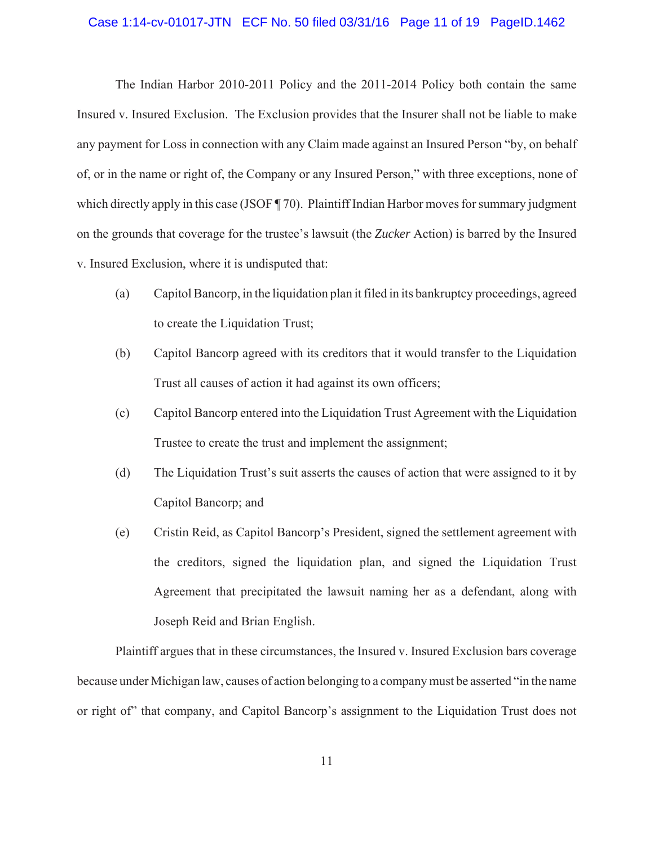#### Case 1:14-cv-01017-JTN ECF No. 50 filed 03/31/16 Page 11 of 19 PageID.1462

The Indian Harbor 2010-2011 Policy and the 2011-2014 Policy both contain the same Insured v. Insured Exclusion. The Exclusion provides that the Insurer shall not be liable to make any payment for Loss in connection with any Claim made against an Insured Person "by, on behalf of, or in the name or right of, the Company or any Insured Person," with three exceptions, none of which directly apply in this case (JSOF ¶ 70). Plaintiff Indian Harbor moves for summary judgment on the grounds that coverage for the trustee's lawsuit (the *Zucker* Action) is barred by the Insured v. Insured Exclusion, where it is undisputed that:

- (a) Capitol Bancorp, in the liquidation plan it filed in its bankruptcy proceedings, agreed to create the Liquidation Trust;
- (b) Capitol Bancorp agreed with its creditors that it would transfer to the Liquidation Trust all causes of action it had against its own officers;
- (c) Capitol Bancorp entered into the Liquidation Trust Agreement with the Liquidation Trustee to create the trust and implement the assignment;
- (d) The Liquidation Trust's suit asserts the causes of action that were assigned to it by Capitol Bancorp; and
- (e) Cristin Reid, as Capitol Bancorp's President, signed the settlement agreement with the creditors, signed the liquidation plan, and signed the Liquidation Trust Agreement that precipitated the lawsuit naming her as a defendant, along with Joseph Reid and Brian English.

Plaintiff argues that in these circumstances, the Insured v. Insured Exclusion bars coverage because under Michigan law, causes of action belonging to a company must be asserted "in the name or right of" that company, and Capitol Bancorp's assignment to the Liquidation Trust does not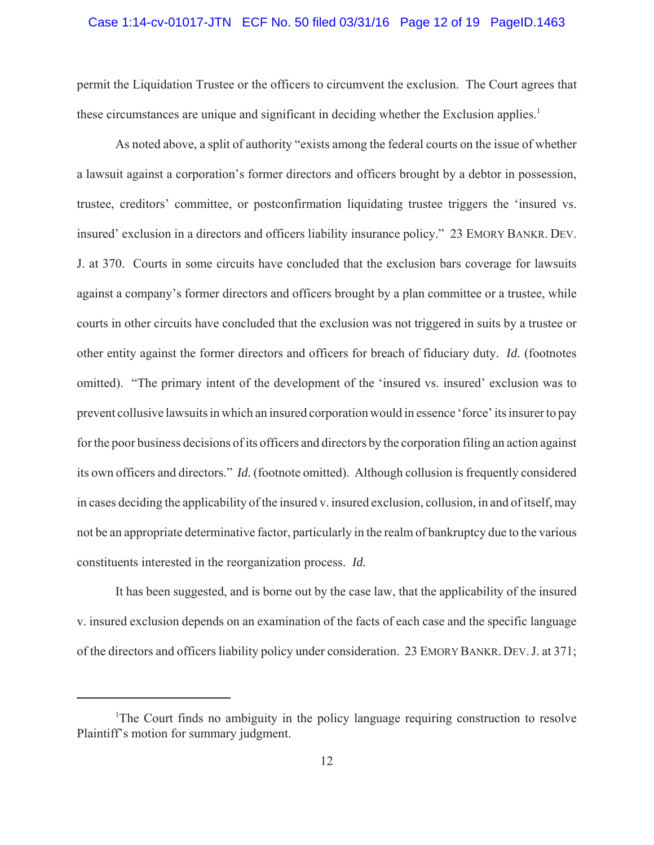#### Case 1:14-cv-01017-JTN ECF No. 50 filed 03/31/16 Page 12 of 19 PageID.1463

permit the Liquidation Trustee or the officers to circumvent the exclusion. The Court agrees that these circumstances are unique and significant in deciding whether the Exclusion applies.<sup>1</sup>

As noted above, a split of authority "exists among the federal courts on the issue of whether a lawsuit against a corporation's former directors and officers brought by a debtor in possession, trustee, creditors' committee, or postconfirmation liquidating trustee triggers the 'insured vs. insured' exclusion in a directors and officers liability insurance policy." 23 EMORY BANKR. DEV. J. at 370. Courts in some circuits have concluded that the exclusion bars coverage for lawsuits against a company's former directors and officers brought by a plan committee or a trustee, while courts in other circuits have concluded that the exclusion was not triggered in suits by a trustee or other entity against the former directors and officers for breach of fiduciary duty. *Id.* (footnotes omitted). "The primary intent of the development of the 'insured vs. insured' exclusion was to prevent collusive lawsuits in which an insured corporation would in essence 'force' its insurer to pay for the poor business decisions of its officers and directors by the corporation filing an action against its own officers and directors." *Id.* (footnote omitted). Although collusion is frequently considered in cases deciding the applicability of the insured v. insured exclusion, collusion, in and of itself, may not be an appropriate determinative factor, particularly in the realm of bankruptcy due to the various constituents interested in the reorganization process. *Id.*

It has been suggested, and is borne out by the case law, that the applicability of the insured v. insured exclusion depends on an examination of the facts of each case and the specific language of the directors and officers liability policy under consideration. 23 EMORY BANKR. DEV. J. at 371;

<sup>&</sup>lt;sup>1</sup>The Court finds no ambiguity in the policy language requiring construction to resolve Plaintiff's motion for summary judgment.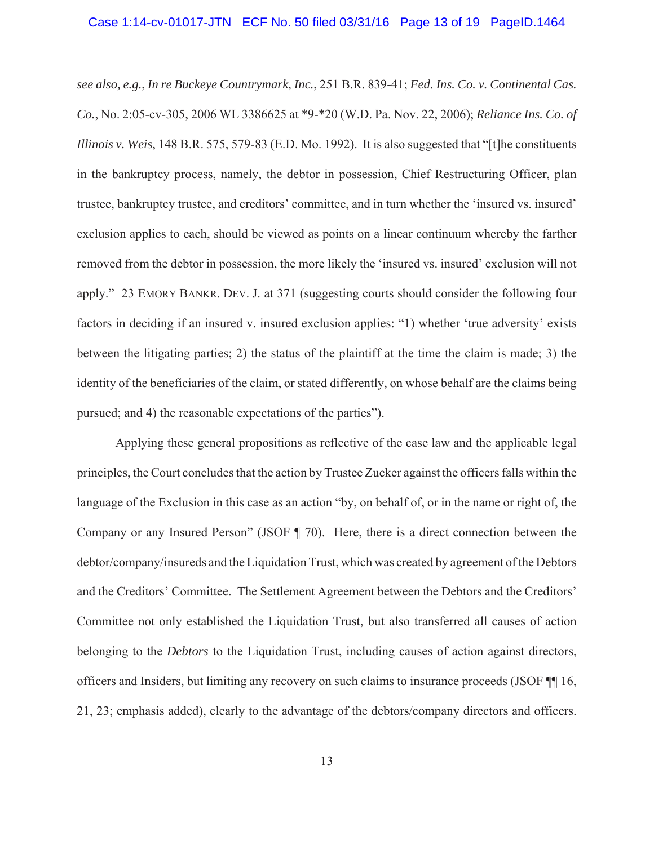#### Case 1:14-cv-01017-JTN ECF No. 50 filed 03/31/16 Page 13 of 19 PageID.1464

*see also, e.g.*, *In re Buckeye Countrymark, Inc.*, 251 B.R. 839-41; *Fed. Ins. Co. v. Continental Cas. Co.*, No. 2:05-cv-305, 2006 WL 3386625 at \*9-\*20 (W.D. Pa. Nov. 22, 2006); *Reliance Ins. Co. of Illinois v. Weis*, 148 B.R. 575, 579-83 (E.D. Mo. 1992). It is also suggested that "[t]he constituents in the bankruptcy process, namely, the debtor in possession, Chief Restructuring Officer, plan trustee, bankruptcy trustee, and creditors' committee, and in turn whether the 'insured vs. insured' exclusion applies to each, should be viewed as points on a linear continuum whereby the farther removed from the debtor in possession, the more likely the 'insured vs. insured' exclusion will not apply." 23 EMORY BANKR. DEV. J. at 371 (suggesting courts should consider the following four factors in deciding if an insured v. insured exclusion applies: "1) whether 'true adversity' exists between the litigating parties; 2) the status of the plaintiff at the time the claim is made; 3) the identity of the beneficiaries of the claim, or stated differently, on whose behalf are the claims being pursued; and 4) the reasonable expectations of the parties").

Applying these general propositions as reflective of the case law and the applicable legal principles, the Court concludes that the action by Trustee Zucker against the officers falls within the language of the Exclusion in this case as an action "by, on behalf of, or in the name or right of, the Company or any Insured Person" (JSOF ¶ 70). Here, there is a direct connection between the debtor/company/insureds and the Liquidation Trust, which was created by agreement of the Debtors and the Creditors' Committee. The Settlement Agreement between the Debtors and the Creditors' Committee not only established the Liquidation Trust, but also transferred all causes of action belonging to the *Debtors* to the Liquidation Trust, including causes of action against directors, officers and Insiders, but limiting any recovery on such claims to insurance proceeds (JSOF ¶¶ 16, 21, 23; emphasis added), clearly to the advantage of the debtors/company directors and officers.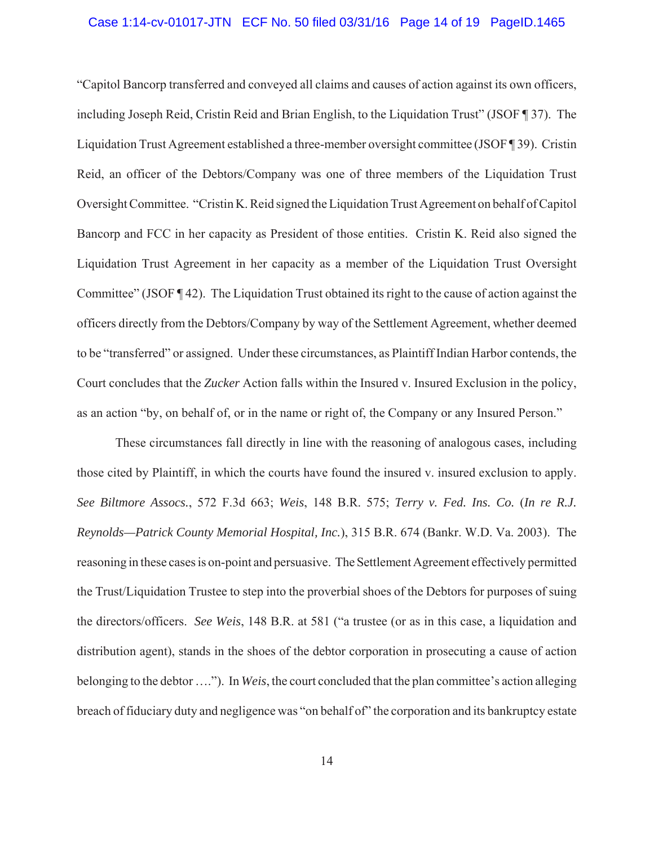## Case 1:14-cv-01017-JTN ECF No. 50 filed 03/31/16 Page 14 of 19 PageID.1465

"Capitol Bancorp transferred and conveyed all claims and causes of action against its own officers, including Joseph Reid, Cristin Reid and Brian English, to the Liquidation Trust" (JSOF ¶ 37). The Liquidation Trust Agreement established a three-member oversight committee (JSOF ¶ 39). Cristin Reid, an officer of the Debtors/Company was one of three members of the Liquidation Trust Oversight Committee. "Cristin K. Reid signed the Liquidation Trust Agreement on behalf of Capitol Bancorp and FCC in her capacity as President of those entities. Cristin K. Reid also signed the Liquidation Trust Agreement in her capacity as a member of the Liquidation Trust Oversight Committee" (JSOF ¶ 42). The Liquidation Trust obtained its right to the cause of action against the officers directly from the Debtors/Company by way of the Settlement Agreement, whether deemed to be "transferred" or assigned. Under these circumstances, as Plaintiff Indian Harbor contends, the Court concludes that the *Zucker* Action falls within the Insured v. Insured Exclusion in the policy, as an action "by, on behalf of, or in the name or right of, the Company or any Insured Person."

These circumstances fall directly in line with the reasoning of analogous cases, including those cited by Plaintiff, in which the courts have found the insured v. insured exclusion to apply. *See Biltmore Assocs.*, 572 F.3d 663; *Weis*, 148 B.R. 575; *Terry v. Fed. Ins. Co.* (*In re R.J. Reynolds—Patrick County Memorial Hospital, Inc.*), 315 B.R. 674 (Bankr. W.D. Va. 2003). The reasoning in these cases is on-point and persuasive. The Settlement Agreement effectively permitted the Trust/Liquidation Trustee to step into the proverbial shoes of the Debtors for purposes of suing the directors/officers. *See Weis*, 148 B.R. at 581 ("a trustee (or as in this case, a liquidation and distribution agent), stands in the shoes of the debtor corporation in prosecuting a cause of action belonging to the debtor …."). In *Weis*, the court concluded that the plan committee's action alleging breach of fiduciary duty and negligence was "on behalf of" the corporation and its bankruptcy estate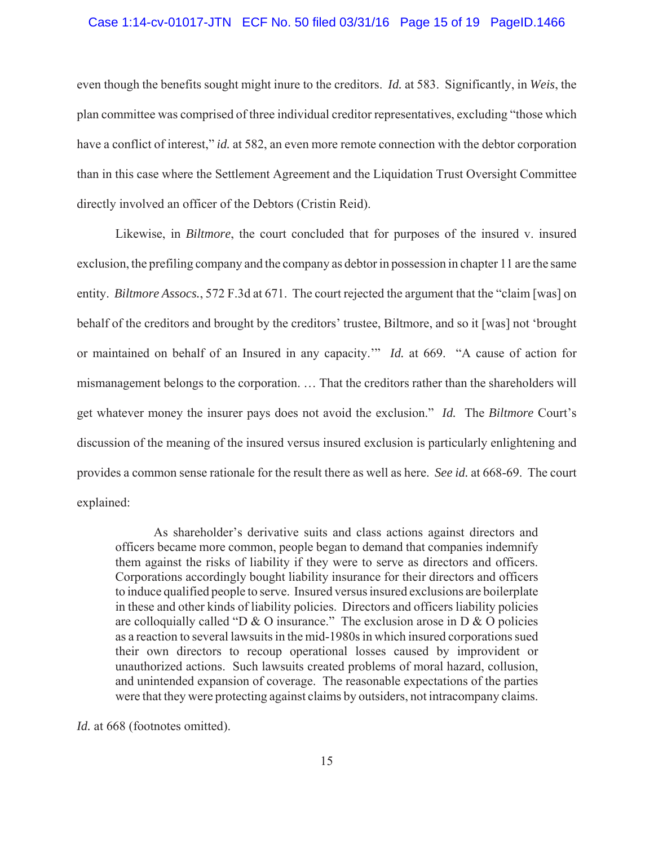#### Case 1:14-cv-01017-JTN ECF No. 50 filed 03/31/16 Page 15 of 19 PageID.1466

even though the benefits sought might inure to the creditors. *Id.* at 583. Significantly, in *Weis*, the plan committee was comprised of three individual creditor representatives, excluding "those which have a conflict of interest," *id.* at 582, an even more remote connection with the debtor corporation than in this case where the Settlement Agreement and the Liquidation Trust Oversight Committee directly involved an officer of the Debtors (Cristin Reid).

Likewise, in *Biltmore*, the court concluded that for purposes of the insured v. insured exclusion, the prefiling company and the company as debtor in possession in chapter 11 are the same entity. *Biltmore Assocs.*, 572 F.3d at 671. The court rejected the argument that the "claim [was] on behalf of the creditors and brought by the creditors' trustee, Biltmore, and so it [was] not 'brought or maintained on behalf of an Insured in any capacity.'" *Id.* at 669. "A cause of action for mismanagement belongs to the corporation. … That the creditors rather than the shareholders will get whatever money the insurer pays does not avoid the exclusion." *Id.* The *Biltmore* Court's discussion of the meaning of the insured versus insured exclusion is particularly enlightening and provides a common sense rationale for the result there as well as here. *See id.* at 668-69. The court explained:

As shareholder's derivative suits and class actions against directors and officers became more common, people began to demand that companies indemnify them against the risks of liability if they were to serve as directors and officers. Corporations accordingly bought liability insurance for their directors and officers to induce qualified people to serve. Insured versus insured exclusions are boilerplate in these and other kinds of liability policies. Directors and officers liability policies are colloquially called "D & O insurance." The exclusion arose in D & O policies as a reaction to several lawsuits in the mid-1980s in which insured corporations sued their own directors to recoup operational losses caused by improvident or unauthorized actions. Such lawsuits created problems of moral hazard, collusion, and unintended expansion of coverage. The reasonable expectations of the parties were that they were protecting against claims by outsiders, not intracompany claims.

*Id.* at 668 (footnotes omitted).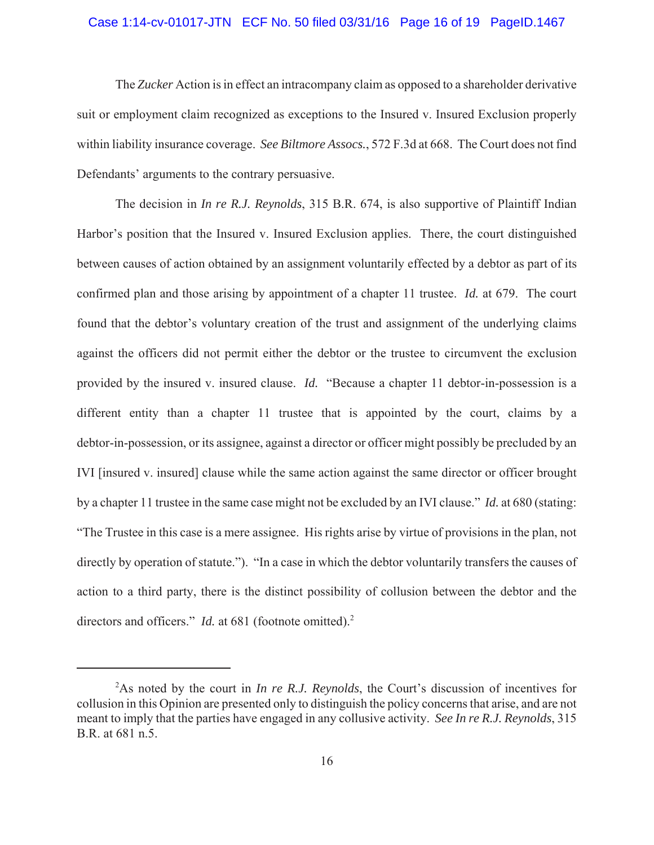#### Case 1:14-cv-01017-JTN ECF No. 50 filed 03/31/16 Page 16 of 19 PageID.1467

The *Zucker* Action is in effect an intracompany claim as opposed to a shareholder derivative suit or employment claim recognized as exceptions to the Insured v. Insured Exclusion properly within liability insurance coverage. *See Biltmore Assocs.*, 572 F.3d at 668. The Court does not find Defendants' arguments to the contrary persuasive.

The decision in *In re R.J. Reynolds*, 315 B.R. 674, is also supportive of Plaintiff Indian Harbor's position that the Insured v. Insured Exclusion applies. There, the court distinguished between causes of action obtained by an assignment voluntarily effected by a debtor as part of its confirmed plan and those arising by appointment of a chapter 11 trustee. *Id.* at 679. The court found that the debtor's voluntary creation of the trust and assignment of the underlying claims against the officers did not permit either the debtor or the trustee to circumvent the exclusion provided by the insured v. insured clause. *Id.* "Because a chapter 11 debtor-in-possession is a different entity than a chapter 11 trustee that is appointed by the court, claims by a debtor-in-possession, or its assignee, against a director or officer might possibly be precluded by an IVI [insured v. insured] clause while the same action against the same director or officer brought by a chapter 11 trustee in the same case might not be excluded by an IVI clause." *Id.* at 680 (stating: "The Trustee in this case is a mere assignee. His rights arise by virtue of provisions in the plan, not directly by operation of statute."). "In a case in which the debtor voluntarily transfers the causes of action to a third party, there is the distinct possibility of collusion between the debtor and the directors and officers." *Id.* at 681 (footnote omitted).<sup>2</sup>

<sup>2</sup> As noted by the court in *In re R.J. Reynolds*, the Court's discussion of incentives for collusion in this Opinion are presented only to distinguish the policy concerns that arise, and are not meant to imply that the parties have engaged in any collusive activity. *See In re R.J. Reynolds*, 315 B.R. at 681 n.5.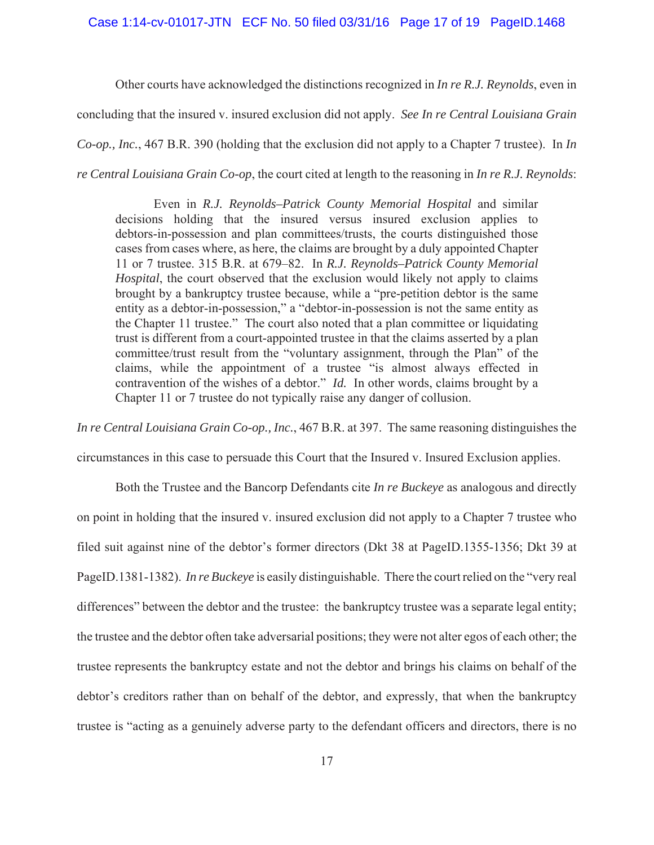#### Case 1:14-cv-01017-JTN ECF No. 50 filed 03/31/16 Page 17 of 19 PageID.1468

Other courts have acknowledged the distinctions recognized in *In re R.J. Reynolds*, even in concluding that the insured v. insured exclusion did not apply. *See In re Central Louisiana Grain Co-op., Inc.*, 467 B.R. 390 (holding that the exclusion did not apply to a Chapter 7 trustee). In *In re Central Louisiana Grain Co-op*, the court cited at length to the reasoning in *In re R.J. Reynolds*:

Even in *R.J. Reynolds–Patrick County Memorial Hospital* and similar decisions holding that the insured versus insured exclusion applies to debtors-in-possession and plan committees/trusts, the courts distinguished those cases from cases where, as here, the claims are brought by a duly appointed Chapter 11 or 7 trustee. 315 B.R. at 679–82. In *R.J. Reynolds–Patrick County Memorial Hospital*, the court observed that the exclusion would likely not apply to claims brought by a bankruptcy trustee because, while a "pre-petition debtor is the same entity as a debtor-in-possession," a "debtor-in-possession is not the same entity as the Chapter 11 trustee." The court also noted that a plan committee or liquidating trust is different from a court-appointed trustee in that the claims asserted by a plan committee/trust result from the "voluntary assignment, through the Plan" of the claims, while the appointment of a trustee "is almost always effected in contravention of the wishes of a debtor." *Id.* In other words, claims brought by a Chapter 11 or 7 trustee do not typically raise any danger of collusion.

*In re Central Louisiana Grain Co-op., Inc.*, 467 B.R. at 397. The same reasoning distinguishes the circumstances in this case to persuade this Court that the Insured v. Insured Exclusion applies.

Both the Trustee and the Bancorp Defendants cite *In re Buckeye* as analogous and directly on point in holding that the insured v. insured exclusion did not apply to a Chapter 7 trustee who filed suit against nine of the debtor's former directors (Dkt 38 at PageID.1355-1356; Dkt 39 at PageID.1381-1382). *In re Buckeye* is easily distinguishable. There the court relied on the "very real differences" between the debtor and the trustee: the bankruptcy trustee was a separate legal entity; the trustee and the debtor often take adversarial positions; they were not alter egos of each other; the trustee represents the bankruptcy estate and not the debtor and brings his claims on behalf of the debtor's creditors rather than on behalf of the debtor, and expressly, that when the bankruptcy trustee is "acting as a genuinely adverse party to the defendant officers and directors, there is no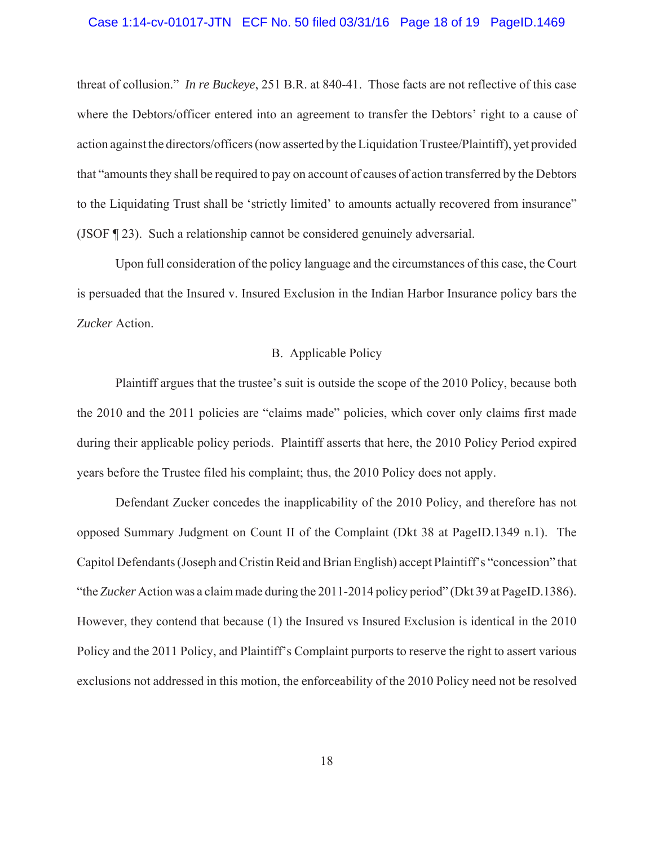### Case 1:14-cv-01017-JTN ECF No. 50 filed 03/31/16 Page 18 of 19 PageID.1469

threat of collusion." *In re Buckeye*, 251 B.R. at 840-41. Those facts are not reflective of this case where the Debtors/officer entered into an agreement to transfer the Debtors' right to a cause of action against the directors/officers (now asserted by the Liquidation Trustee/Plaintiff), yet provided that "amounts they shall be required to pay on account of causes of action transferred by the Debtors to the Liquidating Trust shall be 'strictly limited' to amounts actually recovered from insurance" (JSOF ¶ 23). Such a relationship cannot be considered genuinely adversarial.

Upon full consideration of the policy language and the circumstances of this case, the Court is persuaded that the Insured v. Insured Exclusion in the Indian Harbor Insurance policy bars the *Zucker* Action.

## B. Applicable Policy

Plaintiff argues that the trustee's suit is outside the scope of the 2010 Policy, because both the 2010 and the 2011 policies are "claims made" policies, which cover only claims first made during their applicable policy periods. Plaintiff asserts that here, the 2010 Policy Period expired years before the Trustee filed his complaint; thus, the 2010 Policy does not apply.

Defendant Zucker concedes the inapplicability of the 2010 Policy, and therefore has not opposed Summary Judgment on Count II of the Complaint (Dkt 38 at PageID.1349 n.1). The Capitol Defendants (Joseph and Cristin Reid and Brian English) accept Plaintiff's "concession" that "the *Zucker* Action was a claim made during the 2011-2014 policy period" (Dkt 39 at PageID.1386). However, they contend that because (1) the Insured vs Insured Exclusion is identical in the 2010 Policy and the 2011 Policy, and Plaintiff's Complaint purports to reserve the right to assert various exclusions not addressed in this motion, the enforceability of the 2010 Policy need not be resolved